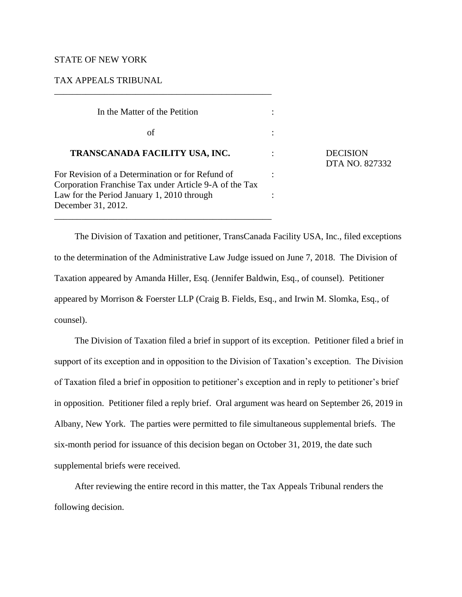# STATE OF NEW YORK

# TAX APPEALS TRIBUNAL

| In the Matter of the Petition                                                                              |  |
|------------------------------------------------------------------------------------------------------------|--|
| οf                                                                                                         |  |
| TRANSCANADA FACILITY USA, INC.                                                                             |  |
| For Revision of a Determination or for Refund of<br>Corporation Franchise Tax under Article 9-A of the Tax |  |
| Law for the Period January 1, 2010 through<br>December 31, 2012.                                           |  |

\_\_\_\_\_\_\_\_\_\_\_\_\_\_\_\_\_\_\_\_\_\_\_\_\_\_\_\_\_\_\_\_\_\_\_\_\_\_\_\_\_\_\_\_\_\_\_\_

**TRANSCRIPTION TRANSCRIPTION** DTA NO. 827332

The Division of Taxation and petitioner, TransCanada Facility USA, Inc., filed exceptions to the determination of the Administrative Law Judge issued on June 7, 2018. The Division of Taxation appeared by Amanda Hiller, Esq. (Jennifer Baldwin, Esq., of counsel). Petitioner appeared by Morrison & Foerster LLP (Craig B. Fields, Esq., and Irwin M. Slomka, Esq., of counsel).

The Division of Taxation filed a brief in support of its exception. Petitioner filed a brief in support of its exception and in opposition to the Division of Taxation's exception. The Division of Taxation filed a brief in opposition to petitioner's exception and in reply to petitioner's brief in opposition. Petitioner filed a reply brief. Oral argument was heard on September 26, 2019 in Albany, New York. The parties were permitted to file simultaneous supplemental briefs. The six-month period for issuance of this decision began on October 31, 2019, the date such supplemental briefs were received.

After reviewing the entire record in this matter, the Tax Appeals Tribunal renders the following decision.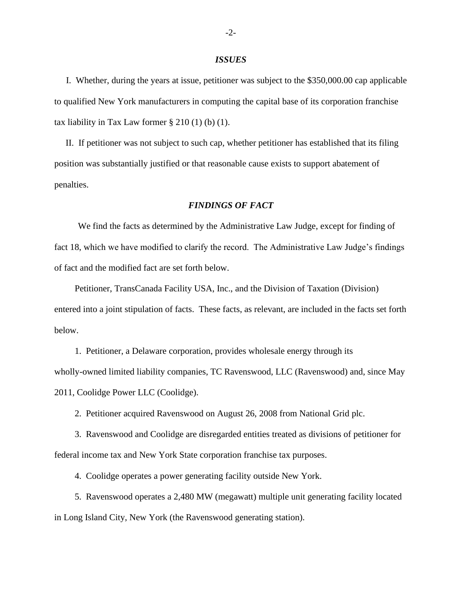#### *ISSUES*

 I. Whether, during the years at issue, petitioner was subject to the \$350,000.00 cap applicable to qualified New York manufacturers in computing the capital base of its corporation franchise tax liability in Tax Law former  $\S 210(1)$  (b) (1).

 II. If petitioner was not subject to such cap, whether petitioner has established that its filing position was substantially justified or that reasonable cause exists to support abatement of penalties.

### *FINDINGS OF FACT*

 We find the facts as determined by the Administrative Law Judge, except for finding of fact 18, which we have modified to clarify the record. The Administrative Law Judge's findings of fact and the modified fact are set forth below.

Petitioner, TransCanada Facility USA, Inc., and the Division of Taxation (Division) entered into a joint stipulation of facts. These facts, as relevant, are included in the facts set forth below.

1. Petitioner, a Delaware corporation, provides wholesale energy through its wholly-owned limited liability companies, TC Ravenswood, LLC (Ravenswood) and, since May 2011, Coolidge Power LLC (Coolidge).

2. Petitioner acquired Ravenswood on August 26, 2008 from National Grid plc.

3. Ravenswood and Coolidge are disregarded entities treated as divisions of petitioner for federal income tax and New York State corporation franchise tax purposes.

4. Coolidge operates a power generating facility outside New York.

5. Ravenswood operates a 2,480 MW (megawatt) multiple unit generating facility located in Long Island City, New York (the Ravenswood generating station).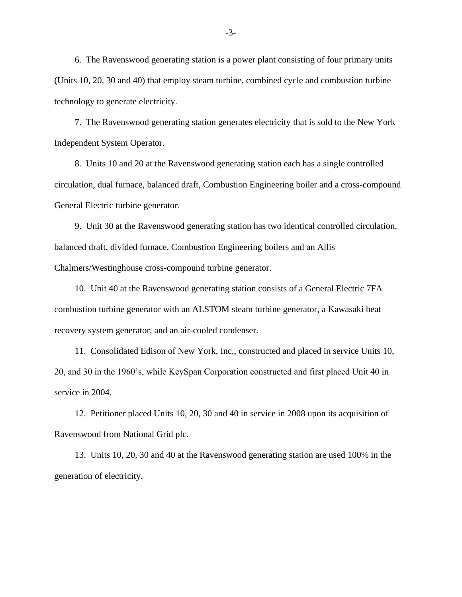6. The Ravenswood generating station is a power plant consisting of four primary units (Units 10, 20, 30 and 40) that employ steam turbine, combined cycle and combustion turbine technology to generate electricity.

7. The Ravenswood generating station generates electricity that is sold to the New York Independent System Operator.

8. Units 10 and 20 at the Ravenswood generating station each has a single controlled circulation, dual furnace, balanced draft, Combustion Engineering boiler and a cross-compound General Electric turbine generator.

9. Unit 30 at the Ravenswood generating station has two identical controlled circulation, balanced draft, divided furnace, Combustion Engineering boilers and an Allis Chalmers/Westinghouse cross-compound turbine generator.

10. Unit 40 at the Ravenswood generating station consists of a General Electric 7FA combustion turbine generator with an ALSTOM steam turbine generator, a Kawasaki heat recovery system generator, and an air-cooled condenser.

11. Consolidated Edison of New York, Inc., constructed and placed in service Units 10, 20, and 30 in the 1960's, while KeySpan Corporation constructed and first placed Unit 40 in service in 2004.

12. Petitioner placed Units 10, 20, 30 and 40 in service in 2008 upon its acquisition of Ravenswood from National Grid plc.

13. Units 10, 20, 30 and 40 at the Ravenswood generating station are used 100% in the generation of electricity.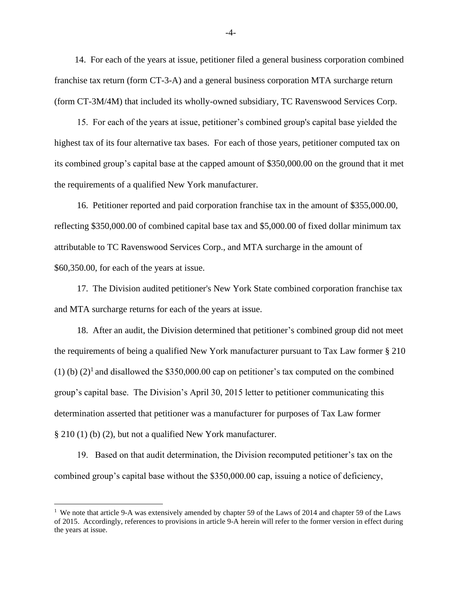14. For each of the years at issue, petitioner filed a general business corporation combined franchise tax return (form CT-3-A) and a general business corporation MTA surcharge return (form CT-3M/4M) that included its wholly-owned subsidiary, TC Ravenswood Services Corp.

15. For each of the years at issue, petitioner's combined group's capital base yielded the highest tax of its four alternative tax bases. For each of those years, petitioner computed tax on its combined group's capital base at the capped amount of \$350,000.00 on the ground that it met the requirements of a qualified New York manufacturer.

16. Petitioner reported and paid corporation franchise tax in the amount of \$355,000.00, reflecting \$350,000.00 of combined capital base tax and \$5,000.00 of fixed dollar minimum tax attributable to TC Ravenswood Services Corp., and MTA surcharge in the amount of \$60,350.00, for each of the years at issue.

17. The Division audited petitioner's New York State combined corporation franchise tax and MTA surcharge returns for each of the years at issue.

18. After an audit, the Division determined that petitioner's combined group did not meet the requirements of being a qualified New York manufacturer pursuant to Tax Law former § 210 (1) (b)  $(2)^{1}$  and disallowed the \$350,000.00 cap on petitioner's tax computed on the combined group's capital base. The Division's April 30, 2015 letter to petitioner communicating this determination asserted that petitioner was a manufacturer for purposes of Tax Law former § 210 (1) (b) (2), but not a qualified New York manufacturer.

19. Based on that audit determination, the Division recomputed petitioner's tax on the combined group's capital base without the \$350,000.00 cap, issuing a notice of deficiency,

<sup>&</sup>lt;sup>1</sup> We note that article 9-A was extensively amended by chapter 59 of the Laws of 2014 and chapter 59 of the Laws of 2015. Accordingly, references to provisions in article 9-A herein will refer to the former version in effect during the years at issue.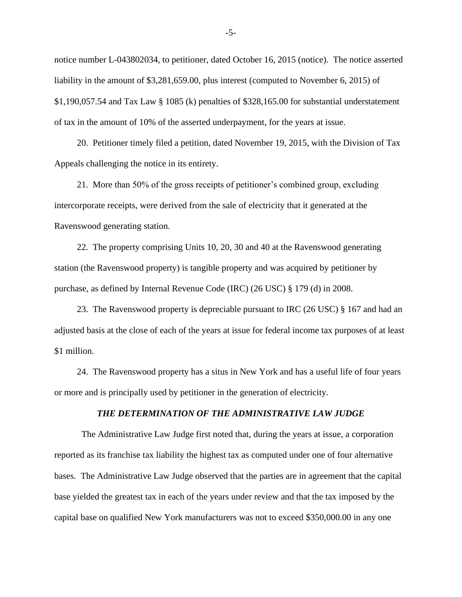notice number L-043802034, to petitioner, dated October 16, 2015 (notice). The notice asserted liability in the amount of \$3,281,659.00, plus interest (computed to November 6, 2015) of \$1,190,057.54 and Tax Law § 1085 (k) penalties of \$328,165.00 for substantial understatement of tax in the amount of 10% of the asserted underpayment, for the years at issue.

20. Petitioner timely filed a petition, dated November 19, 2015, with the Division of Tax Appeals challenging the notice in its entirety.

21. More than 50% of the gross receipts of petitioner's combined group, excluding intercorporate receipts, were derived from the sale of electricity that it generated at the Ravenswood generating station.

22. The property comprising Units 10, 20, 30 and 40 at the Ravenswood generating station (the Ravenswood property) is tangible property and was acquired by petitioner by purchase, as defined by Internal Revenue Code (IRC) (26 USC) § 179 (d) in 2008.

23. The Ravenswood property is depreciable pursuant to IRC (26 USC) § 167 and had an adjusted basis at the close of each of the years at issue for federal income tax purposes of at least \$1 million.

24. The Ravenswood property has a situs in New York and has a useful life of four years or more and is principally used by petitioner in the generation of electricity.

# *THE DETERMINATION OF THE ADMINISTRATIVE LAW JUDGE*

The Administrative Law Judge first noted that, during the years at issue, a corporation reported as its franchise tax liability the highest tax as computed under one of four alternative bases. The Administrative Law Judge observed that the parties are in agreement that the capital base yielded the greatest tax in each of the years under review and that the tax imposed by the capital base on qualified New York manufacturers was not to exceed \$350,000.00 in any one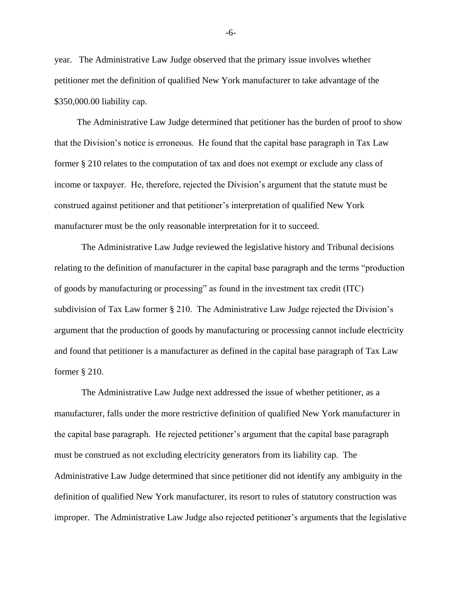year. The Administrative Law Judge observed that the primary issue involves whether petitioner met the definition of qualified New York manufacturer to take advantage of the \$350,000.00 liability cap.

The Administrative Law Judge determined that petitioner has the burden of proof to show that the Division's notice is erroneous. He found that the capital base paragraph in Tax Law former § 210 relates to the computation of tax and does not exempt or exclude any class of income or taxpayer. He, therefore, rejected the Division's argument that the statute must be construed against petitioner and that petitioner's interpretation of qualified New York manufacturer must be the only reasonable interpretation for it to succeed.

The Administrative Law Judge reviewed the legislative history and Tribunal decisions relating to the definition of manufacturer in the capital base paragraph and the terms "production of goods by manufacturing or processing" as found in the investment tax credit (ITC) subdivision of Tax Law former § 210. The Administrative Law Judge rejected the Division's argument that the production of goods by manufacturing or processing cannot include electricity and found that petitioner is a manufacturer as defined in the capital base paragraph of Tax Law former § 210.

The Administrative Law Judge next addressed the issue of whether petitioner, as a manufacturer, falls under the more restrictive definition of qualified New York manufacturer in the capital base paragraph. He rejected petitioner's argument that the capital base paragraph must be construed as not excluding electricity generators from its liability cap. The Administrative Law Judge determined that since petitioner did not identify any ambiguity in the definition of qualified New York manufacturer, its resort to rules of statutory construction was improper. The Administrative Law Judge also rejected petitioner's arguments that the legislative

-6-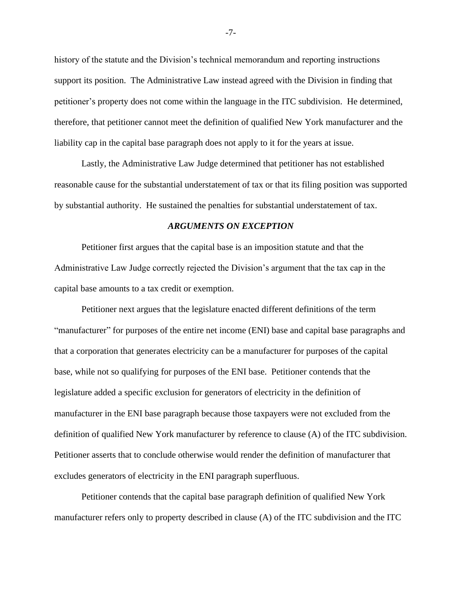history of the statute and the Division's technical memorandum and reporting instructions support its position. The Administrative Law instead agreed with the Division in finding that petitioner's property does not come within the language in the ITC subdivision. He determined, therefore, that petitioner cannot meet the definition of qualified New York manufacturer and the liability cap in the capital base paragraph does not apply to it for the years at issue.

Lastly, the Administrative Law Judge determined that petitioner has not established reasonable cause for the substantial understatement of tax or that its filing position was supported by substantial authority. He sustained the penalties for substantial understatement of tax.

### *ARGUMENTS ON EXCEPTION*

Petitioner first argues that the capital base is an imposition statute and that the Administrative Law Judge correctly rejected the Division's argument that the tax cap in the capital base amounts to a tax credit or exemption.

Petitioner next argues that the legislature enacted different definitions of the term "manufacturer" for purposes of the entire net income (ENI) base and capital base paragraphs and that a corporation that generates electricity can be a manufacturer for purposes of the capital base, while not so qualifying for purposes of the ENI base. Petitioner contends that the legislature added a specific exclusion for generators of electricity in the definition of manufacturer in the ENI base paragraph because those taxpayers were not excluded from the definition of qualified New York manufacturer by reference to clause (A) of the ITC subdivision. Petitioner asserts that to conclude otherwise would render the definition of manufacturer that excludes generators of electricity in the ENI paragraph superfluous.

Petitioner contends that the capital base paragraph definition of qualified New York manufacturer refers only to property described in clause (A) of the ITC subdivision and the ITC

-7-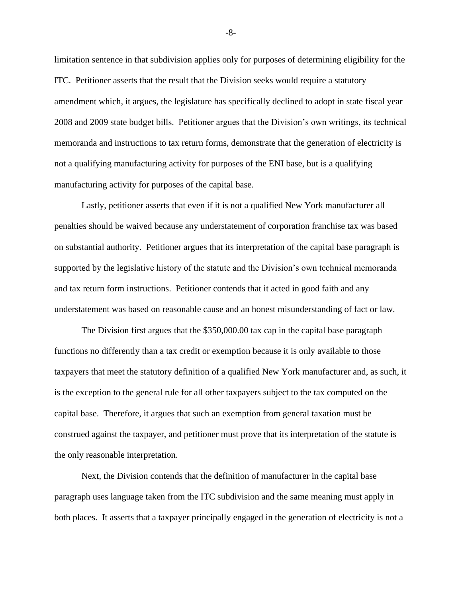limitation sentence in that subdivision applies only for purposes of determining eligibility for the ITC. Petitioner asserts that the result that the Division seeks would require a statutory amendment which, it argues, the legislature has specifically declined to adopt in state fiscal year 2008 and 2009 state budget bills. Petitioner argues that the Division's own writings, its technical memoranda and instructions to tax return forms, demonstrate that the generation of electricity is not a qualifying manufacturing activity for purposes of the ENI base, but is a qualifying manufacturing activity for purposes of the capital base.

Lastly, petitioner asserts that even if it is not a qualified New York manufacturer all penalties should be waived because any understatement of corporation franchise tax was based on substantial authority. Petitioner argues that its interpretation of the capital base paragraph is supported by the legislative history of the statute and the Division's own technical memoranda and tax return form instructions. Petitioner contends that it acted in good faith and any understatement was based on reasonable cause and an honest misunderstanding of fact or law.

The Division first argues that the \$350,000.00 tax cap in the capital base paragraph functions no differently than a tax credit or exemption because it is only available to those taxpayers that meet the statutory definition of a qualified New York manufacturer and, as such, it is the exception to the general rule for all other taxpayers subject to the tax computed on the capital base. Therefore, it argues that such an exemption from general taxation must be construed against the taxpayer, and petitioner must prove that its interpretation of the statute is the only reasonable interpretation.

Next, the Division contends that the definition of manufacturer in the capital base paragraph uses language taken from the ITC subdivision and the same meaning must apply in both places. It asserts that a taxpayer principally engaged in the generation of electricity is not a

-8-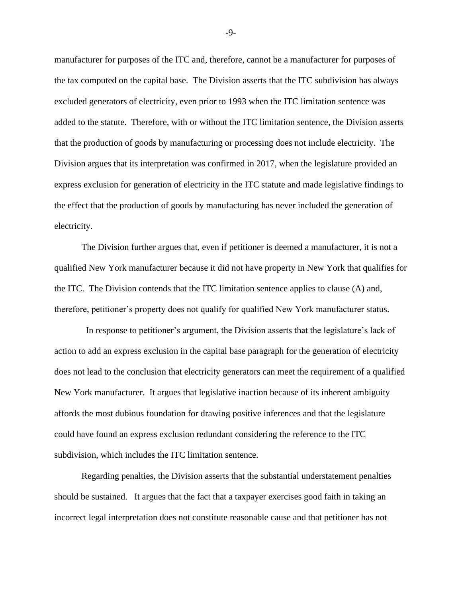manufacturer for purposes of the ITC and, therefore, cannot be a manufacturer for purposes of the tax computed on the capital base. The Division asserts that the ITC subdivision has always excluded generators of electricity, even prior to 1993 when the ITC limitation sentence was added to the statute. Therefore, with or without the ITC limitation sentence, the Division asserts that the production of goods by manufacturing or processing does not include electricity. The Division argues that its interpretation was confirmed in 2017, when the legislature provided an express exclusion for generation of electricity in the ITC statute and made legislative findings to the effect that the production of goods by manufacturing has never included the generation of electricity.

The Division further argues that, even if petitioner is deemed a manufacturer, it is not a qualified New York manufacturer because it did not have property in New York that qualifies for the ITC. The Division contends that the ITC limitation sentence applies to clause (A) and, therefore, petitioner's property does not qualify for qualified New York manufacturer status.

 In response to petitioner's argument, the Division asserts that the legislature's lack of action to add an express exclusion in the capital base paragraph for the generation of electricity does not lead to the conclusion that electricity generators can meet the requirement of a qualified New York manufacturer. It argues that legislative inaction because of its inherent ambiguity affords the most dubious foundation for drawing positive inferences and that the legislature could have found an express exclusion redundant considering the reference to the ITC subdivision, which includes the ITC limitation sentence.

Regarding penalties, the Division asserts that the substantial understatement penalties should be sustained. It argues that the fact that a taxpayer exercises good faith in taking an incorrect legal interpretation does not constitute reasonable cause and that petitioner has not

-9-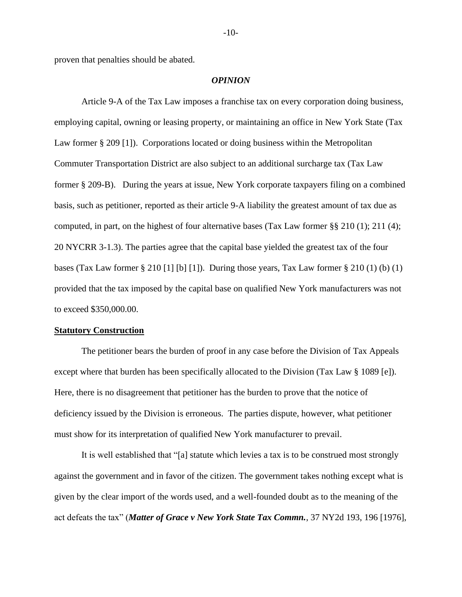proven that penalties should be abated.

#### *OPINION*

Article 9-A of the Tax Law imposes a franchise tax on every corporation doing business, employing capital, owning or leasing property, or maintaining an office in New York State (Tax Law former § 209 [1]). Corporations located or doing business within the Metropolitan Commuter Transportation District are also subject to an additional surcharge tax (Tax Law former § 209-B). During the years at issue, New York corporate taxpayers filing on a combined basis, such as petitioner, reported as their article 9-A liability the greatest amount of tax due as computed, in part, on the highest of four alternative bases (Tax Law former §§ 210 (1); 211 (4); 20 NYCRR 3-1.3). The parties agree that the capital base yielded the greatest tax of the four bases (Tax Law former  $\S 210$  [1] [b] [1]). During those years, Tax Law former  $\S 210$  (1) (b) (1) provided that the tax imposed by the capital base on qualified New York manufacturers was not to exceed \$350,000.00.

#### **Statutory Construction**

The petitioner bears the burden of proof in any case before the Division of Tax Appeals except where that burden has been specifically allocated to the Division (Tax Law § 1089 [e]). Here, there is no disagreement that petitioner has the burden to prove that the notice of deficiency issued by the Division is erroneous. The parties dispute, however, what petitioner must show for its interpretation of qualified New York manufacturer to prevail.

It is well established that "[a] statute which levies a tax is to be construed most strongly against the government and in favor of the citizen. The government takes nothing except what is given by the clear import of the words used, and a well-founded doubt as to the meaning of the act defeats the tax" (*Matter of Grace v New York State Tax Commn.*, 37 NY2d 193, 196 [1976],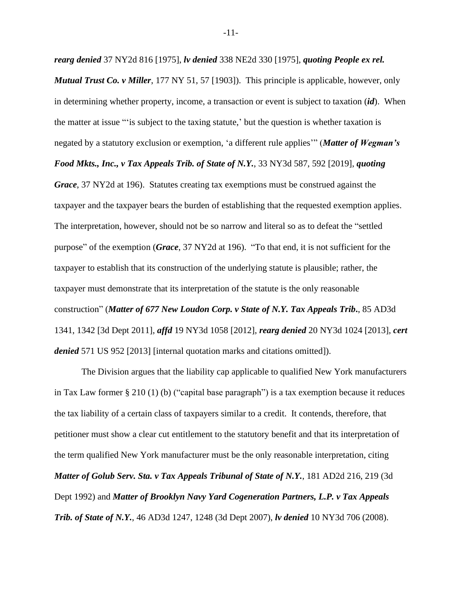*rearg denied* 37 NY2d 816 [1975], *lv denied* 338 NE2d 330 [1975], *quoting People ex rel. Mutual Trust Co. v Miller*, 177 NY 51, 57 [1903]). This principle is applicable, however, only in determining whether property, income, a transaction or event is subject to taxation (*id*). When the matter at issue "'is subject to the taxing statute,' but the question is whether taxation is negated by a statutory exclusion or exemption, 'a different rule applies'" (*Matter of Wegman's Food Mkts., Inc., v Tax Appeals Trib. of State of N.Y.*, 33 NY3d 587, 592 [2019], *quoting Grace*, 37 NY2d at 196). Statutes creating tax exemptions must be construed against the taxpayer and the taxpayer bears the burden of establishing that the requested exemption applies. The interpretation, however, should not be so narrow and literal so as to defeat the "settled purpose" of the exemption (*Grace*, 37 NY2d at 196). "To that end, it is not sufficient for the taxpayer to establish that its construction of the underlying statute is plausible; rather, the taxpayer must demonstrate that its interpretation of the statute is the only reasonable construction" (*Matter of 677 New Loudon Corp. v State of N.Y. Tax Appeals Trib***.**, 85 AD3d 1341, 1342 [3d Dept 2011], *affd* 19 NY3d 1058 [2012], *rearg denied* 20 NY3d 1024 [2013], *cert denied* 571 US 952 [2013] [internal quotation marks and citations omitted]).

The Division argues that the liability cap applicable to qualified New York manufacturers in Tax Law former § 210 (1) (b) ("capital base paragraph") is a tax exemption because it reduces the tax liability of a certain class of taxpayers similar to a credit. It contends, therefore, that petitioner must show a clear cut entitlement to the statutory benefit and that its interpretation of the term qualified New York manufacturer must be the only reasonable interpretation, citing *Matter of Golub Serv. Sta. v Tax Appeals Tribunal of State of N.Y.*, 181 AD2d 216, 219 (3d Dept 1992) and *Matter of Brooklyn Navy Yard Cogeneration Partners, L.P. v Tax Appeals Trib. of State of N.Y.*, 46 AD3d 1247, 1248 (3d Dept 2007), *lv denied* 10 NY3d 706 (2008).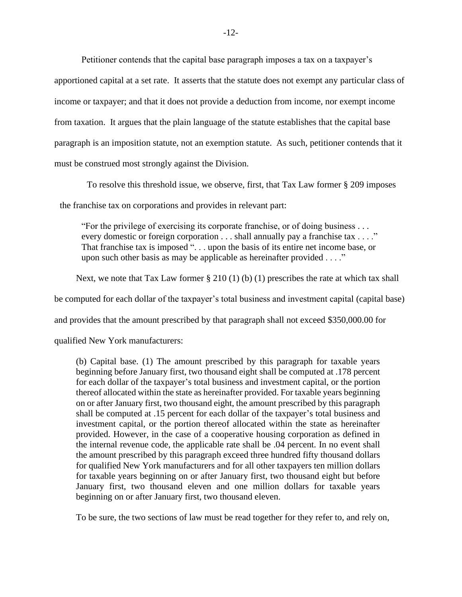Petitioner contends that the capital base paragraph imposes a tax on a taxpayer's

apportioned capital at a set rate. It asserts that the statute does not exempt any particular class of income or taxpayer; and that it does not provide a deduction from income, nor exempt income from taxation. It argues that the plain language of the statute establishes that the capital base paragraph is an imposition statute, not an exemption statute. As such, petitioner contends that it must be construed most strongly against the Division.

To resolve this threshold issue, we observe, first, that Tax Law former § 209 imposes

the franchise tax on corporations and provides in relevant part:

"For the privilege of exercising its corporate franchise, or of doing business . . . every domestic or foreign corporation . . . shall annually pay a franchise tax . . . ." That franchise tax is imposed ". . . upon the basis of its entire net income base, or upon such other basis as may be applicable as hereinafter provided . . . ."

Next, we note that Tax Law former § 210 (1) (b) (1) prescribes the rate at which tax shall

be computed for each dollar of the taxpayer's total business and investment capital (capital base)

and provides that the amount prescribed by that paragraph shall not exceed \$350,000.00 for

qualified New York manufacturers:

(b) Capital base. (1) The amount prescribed by this paragraph for taxable years beginning before January first, two thousand eight shall be computed at .178 percent for each dollar of the taxpayer's total business and investment capital, or the portion thereof allocated within the state as hereinafter provided. For taxable years beginning on or after January first, two thousand eight, the amount prescribed by this paragraph shall be computed at .15 percent for each dollar of the taxpayer's total business and investment capital, or the portion thereof allocated within the state as hereinafter provided. However, in the case of a cooperative housing corporation as defined in the internal revenue code, the applicable rate shall be .04 percent. In no event shall the amount prescribed by this paragraph exceed three hundred fifty thousand dollars for qualified New York manufacturers and for all other taxpayers ten million dollars for taxable years beginning on or after January first, two thousand eight but before January first, two thousand eleven and one million dollars for taxable years beginning on or after January first, two thousand eleven.

To be sure, the two sections of law must be read together for they refer to, and rely on,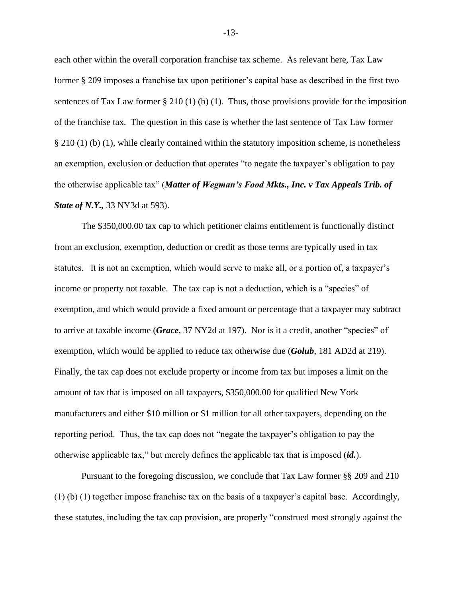each other within the overall corporation franchise tax scheme. As relevant here, Tax Law former § 209 imposes a franchise tax upon petitioner's capital base as described in the first two sentences of Tax Law former  $\S 210 (1) (b) (1)$ . Thus, those provisions provide for the imposition of the franchise tax. The question in this case is whether the last sentence of Tax Law former § 210 (1) (b) (1), while clearly contained within the statutory imposition scheme, is nonetheless an exemption, exclusion or deduction that operates "to negate the taxpayer's obligation to pay the otherwise applicable tax" (*Matter of Wegman's Food Mkts., Inc. v Tax Appeals Trib. of State of N.Y.*, 33 NY3d at 593).

The \$350,000.00 tax cap to which petitioner claims entitlement is functionally distinct from an exclusion, exemption, deduction or credit as those terms are typically used in tax statutes. It is not an exemption, which would serve to make all, or a portion of, a taxpayer's income or property not taxable. The tax cap is not a deduction, which is a "species" of exemption, and which would provide a fixed amount or percentage that a taxpayer may subtract to arrive at taxable income (*Grace*, 37 NY2d at 197). Nor is it a credit, another "species" of exemption, which would be applied to reduce tax otherwise due (*Golub*, 181 AD2d at 219). Finally, the tax cap does not exclude property or income from tax but imposes a limit on the amount of tax that is imposed on all taxpayers, \$350,000.00 for qualified New York manufacturers and either \$10 million or \$1 million for all other taxpayers, depending on the reporting period. Thus, the tax cap does not "negate the taxpayer's obligation to pay the otherwise applicable tax," but merely defines the applicable tax that is imposed (*id.*).

Pursuant to the foregoing discussion, we conclude that Tax Law former §§ 209 and 210 (1) (b) (1) together impose franchise tax on the basis of a taxpayer's capital base. Accordingly, these statutes, including the tax cap provision, are properly "construed most strongly against the

-13-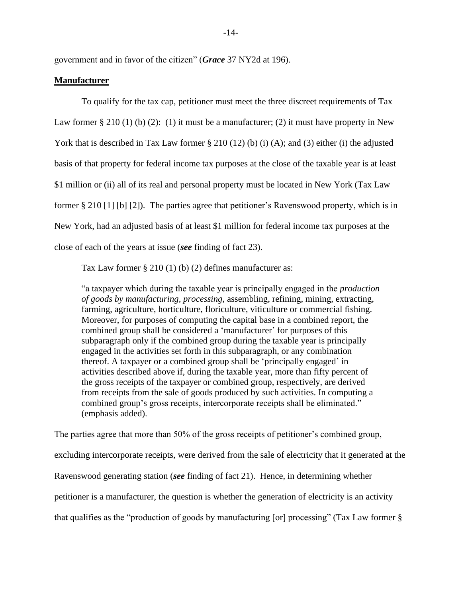government and in favor of the citizen" (*Grace* 37 NY2d at 196).

# **Manufacturer**

To qualify for the tax cap, petitioner must meet the three discreet requirements of Tax Law former § 210 (1) (b) (2): (1) it must be a manufacturer; (2) it must have property in New York that is described in Tax Law former  $\S 210 (12) (b) (i) (A)$ ; and (3) either (i) the adjusted basis of that property for federal income tax purposes at the close of the taxable year is at least \$1 million or (ii) all of its real and personal property must be located in New York (Tax Law former § 210 [1] [b] [2]). The parties agree that petitioner's Ravenswood property, which is in New York, had an adjusted basis of at least \$1 million for federal income tax purposes at the close of each of the years at issue (*see* finding of fact 23).

Tax Law former § 210 (1) (b) (2) defines manufacturer as:

"a taxpayer which during the taxable year is principally engaged in the *production of goods by manufacturing, processing,* assembling, refining, mining, extracting, farming, agriculture, horticulture, floriculture, viticulture or commercial fishing. Moreover, for purposes of computing the capital base in a combined report, the combined group shall be considered a 'manufacturer' for purposes of this subparagraph only if the combined group during the taxable year is principally engaged in the activities set forth in this subparagraph, or any combination thereof. A taxpayer or a combined group shall be 'principally engaged' in activities described above if, during the taxable year, more than fifty percent of the gross receipts of the taxpayer or combined group, respectively, are derived from receipts from the sale of goods produced by such activities. In computing a combined group's gross receipts, intercorporate receipts shall be eliminated." (emphasis added).

The parties agree that more than 50% of the gross receipts of petitioner's combined group, excluding intercorporate receipts, were derived from the sale of electricity that it generated at the Ravenswood generating station (*see* finding of fact 21). Hence, in determining whether petitioner is a manufacturer, the question is whether the generation of electricity is an activity that qualifies as the "production of goods by manufacturing [or] processing" (Tax Law former §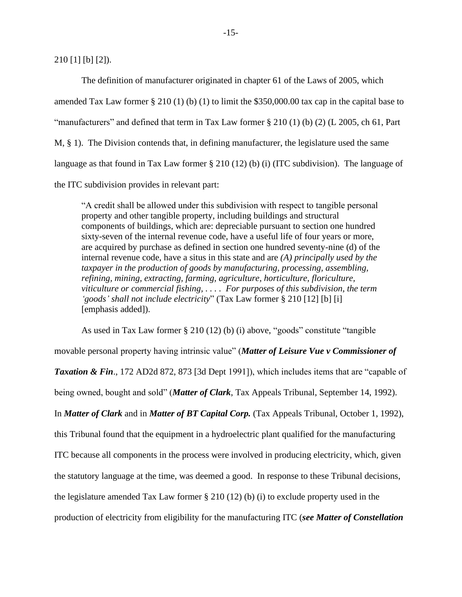210 [1] [b] [2]).

The definition of manufacturer originated in chapter 61 of the Laws of 2005, which amended Tax Law former § 210 (1) (b) (1) to limit the \$350,000.00 tax cap in the capital base to "manufacturers" and defined that term in Tax Law former § 210 (1) (b) (2) (L 2005, ch 61, Part M, § 1). The Division contends that, in defining manufacturer, the legislature used the same language as that found in Tax Law former § 210 (12) (b) (i) (ITC subdivision). The language of the ITC subdivision provides in relevant part:

"A credit shall be allowed under this subdivision with respect to tangible personal property and other tangible property, including buildings and structural components of buildings, which are: depreciable pursuant to section one hundred sixty-seven of the internal revenue code, have a useful life of four years or more, are acquired by purchase as defined in section one hundred seventy-nine (d) of the internal revenue code, have a situs in this state and are *(A) principally used by the taxpayer in the production of goods by manufacturing, processing, assembling, refining, mining, extracting, farming, agriculture, horticulture, floriculture, viticulture or commercial fishing, . . . . For purposes of this subdivision, the term 'goods' shall not include electricity*" (Tax Law former § 210 [12] [b] [i] [emphasis added]).

As used in Tax Law former § 210 (12) (b) (i) above, "goods" constitute "tangible

movable personal property having intrinsic value" (*Matter of Leisure Vue v Commissioner of* 

*Taxation & Fin*., 172 AD2d 872, 873 [3d Dept 1991]), which includes items that are "capable of

being owned, bought and sold" (*Matter of Clark*, Tax Appeals Tribunal, September 14, 1992).

In *Matter of Clark* and in *Matter of BT Capital Corp.* (Tax Appeals Tribunal, October 1, 1992),

this Tribunal found that the equipment in a hydroelectric plant qualified for the manufacturing

ITC because all components in the process were involved in producing electricity, which, given

the statutory language at the time, was deemed a good. In response to these Tribunal decisions,

the legislature amended Tax Law former § 210 (12) (b) (i) to exclude property used in the

production of electricity from eligibility for the manufacturing ITC (*see Matter of Constellation*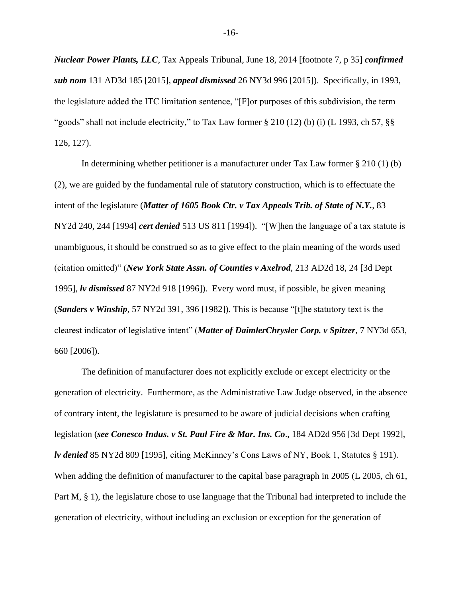*Nuclear Power Plants, LLC*, Tax Appeals Tribunal, June 18, 2014 [footnote 7, p 35] *confirmed sub nom* 131 AD3d 185 [2015], *appeal dismissed* 26 NY3d 996 [2015]). Specifically, in 1993, the legislature added the ITC limitation sentence, "[F]or purposes of this subdivision, the term "goods" shall not include electricity," to Tax Law former § 210 (12) (b) (i) (L 1993, ch 57, §§ 126, 127).

In determining whether petitioner is a manufacturer under Tax Law former § 210 (1) (b) (2), we are guided by the fundamental rule of statutory construction, which is to effectuate the intent of the legislature (*Matter of 1605 Book Ctr. v Tax Appeals Trib. of State of N.Y.*, 83 NY2d 240, 244 [1994] *cert denied* 513 US 811 [1994]). "[W]hen the language of a tax statute is unambiguous, it should be construed so as to give effect to the plain meaning of the words used (citation omitted)" (*New York State Assn. of Counties v Axelrod*, 213 AD2d 18, 24 [3d Dept 1995], *lv dismissed* 87 NY2d 918 [1996]). Every word must, if possible, be given meaning (*Sanders v Winship*, 57 NY2d 391, 396 [1982]). This is because "[t]he statutory text is the clearest indicator of legislative intent" (*Matter of DaimlerChrysler Corp. v Spitzer*, 7 NY3d 653, 660 [2006]).

The definition of manufacturer does not explicitly exclude or except electricity or the generation of electricity. Furthermore, as the Administrative Law Judge observed, in the absence of contrary intent, the legislature is presumed to be aware of judicial decisions when crafting legislation (*see Conesco Indus. v St. Paul Fire & Mar. Ins. Co*., 184 AD2d 956 [3d Dept 1992], *lv denied* 85 NY2d 809 [1995], citing McKinney's Cons Laws of NY, Book 1, Statutes § 191). When adding the definition of manufacturer to the capital base paragraph in 2005 (L 2005, ch 61, Part M, § 1), the legislature chose to use language that the Tribunal had interpreted to include the generation of electricity, without including an exclusion or exception for the generation of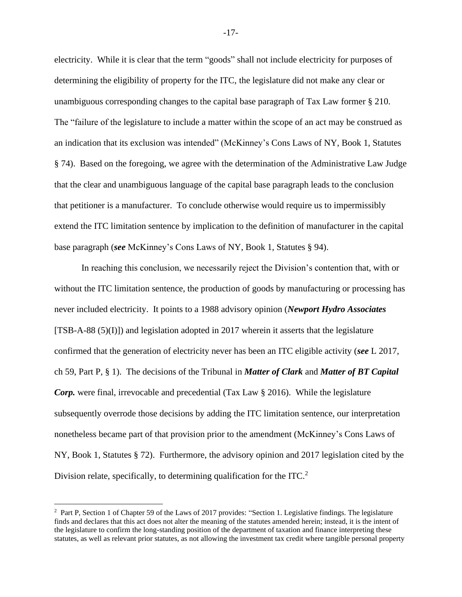electricity. While it is clear that the term "goods" shall not include electricity for purposes of determining the eligibility of property for the ITC, the legislature did not make any clear or unambiguous corresponding changes to the capital base paragraph of Tax Law former § 210. The "failure of the legislature to include a matter within the scope of an act may be construed as an indication that its exclusion was intended" (McKinney's Cons Laws of NY, Book 1, Statutes § 74). Based on the foregoing, we agree with the determination of the Administrative Law Judge that the clear and unambiguous language of the capital base paragraph leads to the conclusion that petitioner is a manufacturer. To conclude otherwise would require us to impermissibly extend the ITC limitation sentence by implication to the definition of manufacturer in the capital base paragraph (*see* McKinney's Cons Laws of NY, Book 1, Statutes § 94).

In reaching this conclusion, we necessarily reject the Division's contention that, with or without the ITC limitation sentence, the production of goods by manufacturing or processing has never included electricity. It points to a 1988 advisory opinion (*Newport Hydro Associates*  $[TSB-A-88 (5)(I)]$  and legislation adopted in 2017 wherein it asserts that the legislature confirmed that the generation of electricity never has been an ITC eligible activity (*see* L 2017, ch 59, Part P, § 1). The decisions of the Tribunal in *Matter of Clark* and *Matter of BT Capital Corp.* were final, irrevocable and precedential (Tax Law § 2016). While the legislature subsequently overrode those decisions by adding the ITC limitation sentence, our interpretation nonetheless became part of that provision prior to the amendment (McKinney's Cons Laws of NY, Book 1, Statutes § 72). Furthermore, the advisory opinion and 2017 legislation cited by the Division relate, specifically, to determining qualification for the  $ITC<sup>2</sup>$ .

-17-

<sup>&</sup>lt;sup>2</sup> Part P, Section 1 of Chapter 59 of the Laws of 2017 provides: "Section 1. Legislative findings. The legislature finds and declares that this act does not alter the meaning of the statutes amended herein; instead, it is the intent of the legislature to confirm the long-standing position of the department of taxation and finance interpreting these statutes, as well as relevant prior statutes, as not allowing the investment tax credit where tangible personal property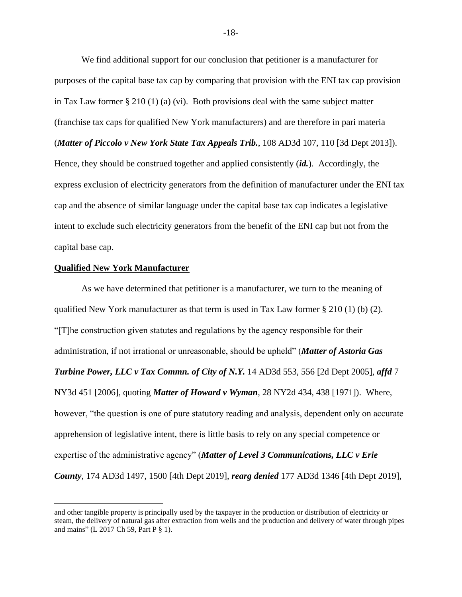We find additional support for our conclusion that petitioner is a manufacturer for purposes of the capital base tax cap by comparing that provision with the ENI tax cap provision in Tax Law former  $\S 210(1)(a)(vi)$ . Both provisions deal with the same subject matter (franchise tax caps for qualified New York manufacturers) and are therefore in pari materia (*Matter of Piccolo v New York State Tax Appeals Trib.*, 108 AD3d 107, 110 [3d Dept 2013]). Hence, they should be construed together and applied consistently (*id.*). Accordingly, the express exclusion of electricity generators from the definition of manufacturer under the ENI tax cap and the absence of similar language under the capital base tax cap indicates a legislative intent to exclude such electricity generators from the benefit of the ENI cap but not from the capital base cap.

#### **Qualified New York Manufacturer**

As we have determined that petitioner is a manufacturer, we turn to the meaning of qualified New York manufacturer as that term is used in Tax Law former  $\S 210 (1) (b) (2)$ . "[T]he construction given statutes and regulations by the agency responsible for their administration, if not irrational or unreasonable, should be upheld" (*Matter of Astoria Gas Turbine Power, LLC v Tax Commn. of City of N.Y.* 14 AD3d 553, 556 [2d Dept 2005], *affd* 7 NY3d 451 [2006], quoting *Matter of Howard v Wyman*, 28 NY2d 434, 438 [1971]). Where, however, "the question is one of pure statutory reading and analysis, dependent only on accurate apprehension of legislative intent, there is little basis to rely on any special competence or expertise of the administrative agency" (*Matter of Level 3 Communications, LLC v Erie County*, 174 AD3d 1497, 1500 [4th Dept 2019], *rearg denied* 177 AD3d 1346 [4th Dept 2019],

-18-

and other tangible property is principally used by the taxpayer in the production or distribution of electricity or steam, the delivery of natural gas after extraction from wells and the production and delivery of water through pipes and mains" (L 2017 Ch 59, Part P § 1).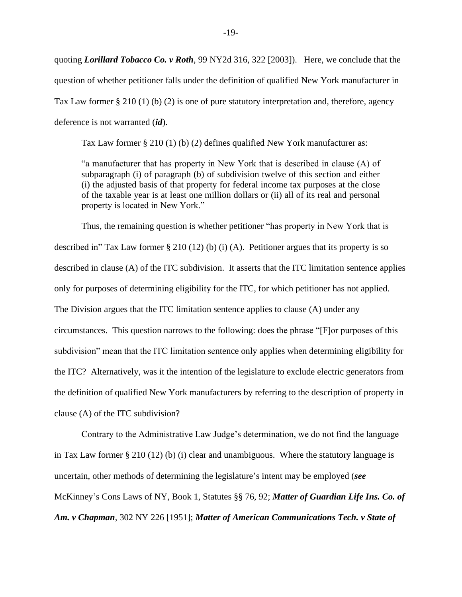quoting *Lorillard Tobacco Co. v Roth*, 99 NY2d 316, 322 [2003]). Here, we conclude that the question of whether petitioner falls under the definition of qualified New York manufacturer in Tax Law former § 210 (1) (b) (2) is one of pure statutory interpretation and, therefore, agency deference is not warranted (*id*).

Tax Law former § 210 (1) (b) (2) defines qualified New York manufacturer as:

"a manufacturer that has property in New York that is described in clause (A) of subparagraph (i) of paragraph (b) of subdivision twelve of this section and either (i) the adjusted basis of that property for federal income tax purposes at the close of the taxable year is at least one million dollars or (ii) all of its real and personal property is located in New York."

Thus, the remaining question is whether petitioner "has property in New York that is described in" Tax Law former § 210 (12) (b) (i) (A). Petitioner argues that its property is so described in clause (A) of the ITC subdivision. It asserts that the ITC limitation sentence applies only for purposes of determining eligibility for the ITC, for which petitioner has not applied. The Division argues that the ITC limitation sentence applies to clause (A) under any circumstances. This question narrows to the following: does the phrase "[F]or purposes of this subdivision" mean that the ITC limitation sentence only applies when determining eligibility for the ITC? Alternatively, was it the intention of the legislature to exclude electric generators from the definition of qualified New York manufacturers by referring to the description of property in clause (A) of the ITC subdivision?

Contrary to the Administrative Law Judge's determination, we do not find the language in Tax Law former § 210 (12) (b) (i) clear and unambiguous. Where the statutory language is uncertain, other methods of determining the legislature's intent may be employed (*see* McKinney's Cons Laws of NY, Book 1, Statutes §§ 76, 92; *Matter of Guardian Life Ins. Co. of Am. v Chapman*, 302 NY 226 [1951]; *Matter of American Communications Tech. v State of*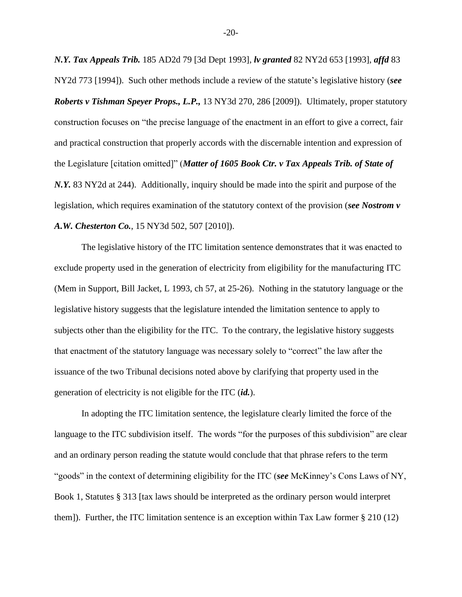*N.Y. Tax Appeals Trib.* 185 AD2d 79 [3d Dept 1993], *lv granted* 82 NY2d 653 [1993], *affd* 83 NY2d 773 [1994]). Such other methods include a review of the statute's legislative history (*see Roberts v Tishman Speyer Props., L.P.,* 13 NY3d 270, 286 [2009]). Ultimately, proper statutory construction focuses on "the precise language of the enactment in an effort to give a correct, fair and practical construction that properly accords with the discernable intention and expression of the Legislature [citation omitted]" (*Matter of 1605 Book Ctr. v Tax Appeals Trib. of State of N.Y.* 83 NY2d at 244). Additionally, inquiry should be made into the spirit and purpose of the legislation, which requires examination of the statutory context of the provision (*see Nostrom v A.W. Chesterton Co.*, 15 NY3d 502, 507 [2010]).

The legislative history of the ITC limitation sentence demonstrates that it was enacted to exclude property used in the generation of electricity from eligibility for the manufacturing ITC (Mem in Support, Bill Jacket, L 1993, ch 57, at 25-26). Nothing in the statutory language or the legislative history suggests that the legislature intended the limitation sentence to apply to subjects other than the eligibility for the ITC. To the contrary, the legislative history suggests that enactment of the statutory language was necessary solely to "correct" the law after the issuance of the two Tribunal decisions noted above by clarifying that property used in the generation of electricity is not eligible for the ITC (*id.*).

In adopting the ITC limitation sentence, the legislature clearly limited the force of the language to the ITC subdivision itself. The words "for the purposes of this subdivision" are clear and an ordinary person reading the statute would conclude that that phrase refers to the term "goods" in the context of determining eligibility for the ITC (*see* McKinney's Cons Laws of NY, Book 1, Statutes § 313 [tax laws should be interpreted as the ordinary person would interpret them]). Further, the ITC limitation sentence is an exception within Tax Law former § 210 (12)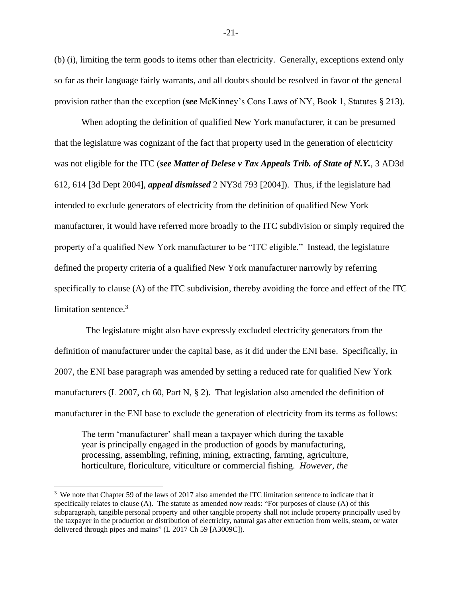(b) (i), limiting the term goods to items other than electricity. Generally, exceptions extend only so far as their language fairly warrants, and all doubts should be resolved in favor of the general provision rather than the exception (*see* McKinney's Cons Laws of NY, Book 1, Statutes § 213).

When adopting the definition of qualified New York manufacturer, it can be presumed that the legislature was cognizant of the fact that property used in the generation of electricity was not eligible for the ITC (*see Matter of Delese v Tax Appeals Trib. of State of N.Y.*, 3 AD3d 612, 614 [3d Dept 2004], *appeal dismissed* 2 NY3d 793 [2004]). Thus, if the legislature had intended to exclude generators of electricity from the definition of qualified New York manufacturer, it would have referred more broadly to the ITC subdivision or simply required the property of a qualified New York manufacturer to be "ITC eligible." Instead, the legislature defined the property criteria of a qualified New York manufacturer narrowly by referring specifically to clause (A) of the ITC subdivision, thereby avoiding the force and effect of the ITC limitation sentence.<sup>3</sup>

 The legislature might also have expressly excluded electricity generators from the definition of manufacturer under the capital base, as it did under the ENI base. Specifically, in 2007, the ENI base paragraph was amended by setting a reduced rate for qualified New York manufacturers (L 2007, ch 60, Part N, § 2). That legislation also amended the definition of manufacturer in the ENI base to exclude the generation of electricity from its terms as follows:

The term 'manufacturer' shall mean a taxpayer which during the taxable year is principally engaged in the production of goods by manufacturing, processing, assembling, refining, mining, extracting, farming, agriculture, horticulture, floriculture, viticulture or commercial fishing. *However, the* 

<sup>&</sup>lt;sup>3</sup> We note that Chapter 59 of the laws of 2017 also amended the ITC limitation sentence to indicate that it specifically relates to clause (A). The statute as amended now reads: "For purposes of clause (A) of this subparagraph, tangible personal property and other tangible property shall not include property principally used by the taxpayer in the production or distribution of electricity, natural gas after extraction from wells, steam, or water delivered through pipes and mains" (L 2017 Ch 59 [A3009C]).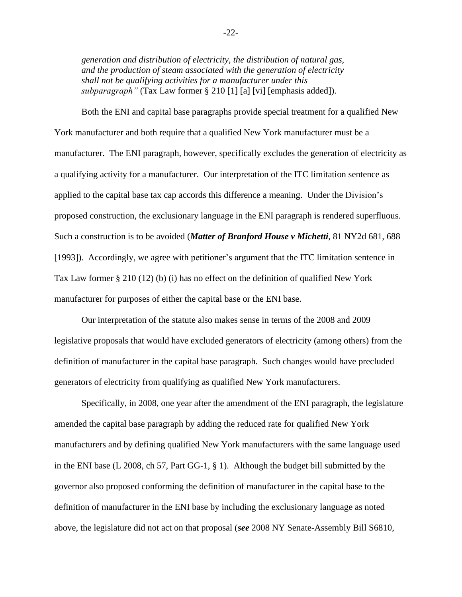*generation and distribution of electricity, the distribution of natural gas, and the production of steam associated with the generation of electricity shall not be qualifying activities for a manufacturer under this subparagraph"* (Tax Law former § 210 [1] [a] [vi] [emphasis added]).

Both the ENI and capital base paragraphs provide special treatment for a qualified New York manufacturer and both require that a qualified New York manufacturer must be a manufacturer. The ENI paragraph, however, specifically excludes the generation of electricity as a qualifying activity for a manufacturer. Our interpretation of the ITC limitation sentence as applied to the capital base tax cap accords this difference a meaning. Under the Division's proposed construction, the exclusionary language in the ENI paragraph is rendered superfluous. Such a construction is to be avoided (*Matter of Branford House v Michetti*, 81 NY2d 681, 688 [1993]). Accordingly, we agree with petitioner's argument that the ITC limitation sentence in Tax Law former § 210 (12) (b) (i) has no effect on the definition of qualified New York manufacturer for purposes of either the capital base or the ENI base.

Our interpretation of the statute also makes sense in terms of the 2008 and 2009 legislative proposals that would have excluded generators of electricity (among others) from the definition of manufacturer in the capital base paragraph. Such changes would have precluded generators of electricity from qualifying as qualified New York manufacturers.

Specifically, in 2008, one year after the amendment of the ENI paragraph, the legislature amended the capital base paragraph by adding the reduced rate for qualified New York manufacturers and by defining qualified New York manufacturers with the same language used in the ENI base (L 2008, ch 57, Part GG-1, § 1). Although the budget bill submitted by the governor also proposed conforming the definition of manufacturer in the capital base to the definition of manufacturer in the ENI base by including the exclusionary language as noted above, the legislature did not act on that proposal (*see* 2008 NY Senate-Assembly Bill S6810,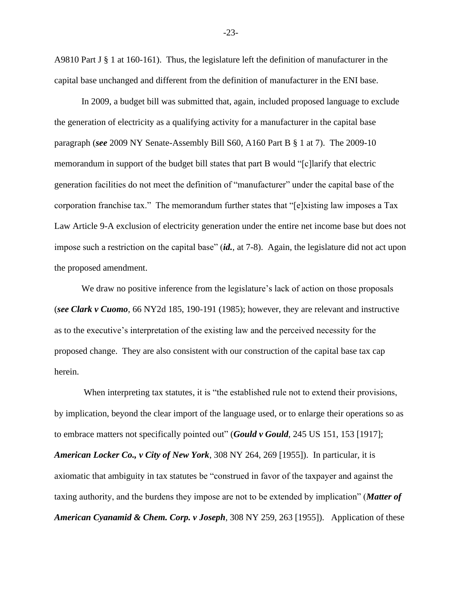A9810 Part J § 1 at 160-161). Thus, the legislature left the definition of manufacturer in the capital base unchanged and different from the definition of manufacturer in the ENI base.

In 2009, a budget bill was submitted that, again, included proposed language to exclude the generation of electricity as a qualifying activity for a manufacturer in the capital base paragraph (*see* 2009 NY Senate-Assembly Bill S60, A160 Part B § 1 at 7). The 2009-10 memorandum in support of the budget bill states that part B would "[c]larify that electric generation facilities do not meet the definition of "manufacturer" under the capital base of the corporation franchise tax." The memorandum further states that "[e]xisting law imposes a Tax Law Article 9-A exclusion of electricity generation under the entire net income base but does not impose such a restriction on the capital base" (*id.*, at 7-8). Again, the legislature did not act upon the proposed amendment.

We draw no positive inference from the legislature's lack of action on those proposals (*see Clark v Cuomo*, 66 NY2d 185, 190-191 (1985); however, they are relevant and instructive as to the executive's interpretation of the existing law and the perceived necessity for the proposed change. They are also consistent with our construction of the capital base tax cap herein.

When interpreting tax statutes, it is "the established rule not to extend their provisions, by implication, beyond the clear import of the language used, or to enlarge their operations so as to embrace matters not specifically pointed out" (*Gould v Gould*, 245 US 151, 153 [1917]; *American Locker Co., v City of New York*, 308 NY 264, 269 [1955]). In particular, it is axiomatic that ambiguity in tax statutes be "construed in favor of the taxpayer and against the taxing authority, and the burdens they impose are not to be extended by implication" (*Matter of American Cyanamid & Chem. Corp. v Joseph*, 308 NY 259, 263 [1955]). Application of these

-23-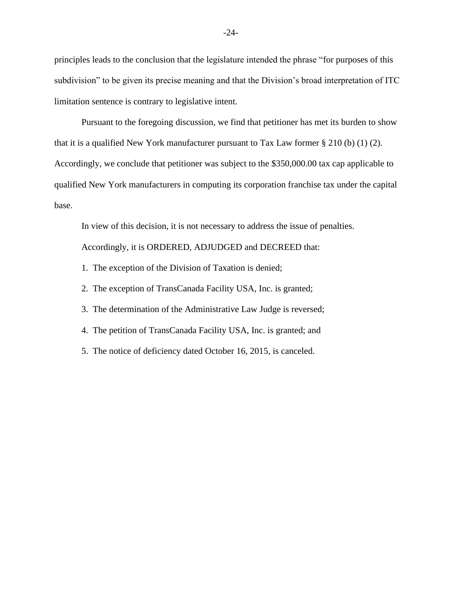principles leads to the conclusion that the legislature intended the phrase "for purposes of this subdivision" to be given its precise meaning and that the Division's broad interpretation of ITC limitation sentence is contrary to legislative intent.

Pursuant to the foregoing discussion, we find that petitioner has met its burden to show that it is a qualified New York manufacturer pursuant to Tax Law former § 210 (b) (1) (2). Accordingly, we conclude that petitioner was subject to the \$350,000.00 tax cap applicable to qualified New York manufacturers in computing its corporation franchise tax under the capital base.

In view of this decision, it is not necessary to address the issue of penalties.

Accordingly, it is ORDERED, ADJUDGED and DECREED that:

- 1. The exception of the Division of Taxation is denied;
- 2. The exception of TransCanada Facility USA, Inc. is granted;
- 3. The determination of the Administrative Law Judge is reversed;
- 4. The petition of TransCanada Facility USA, Inc. is granted; and
- 5. The notice of deficiency dated October 16, 2015, is canceled.